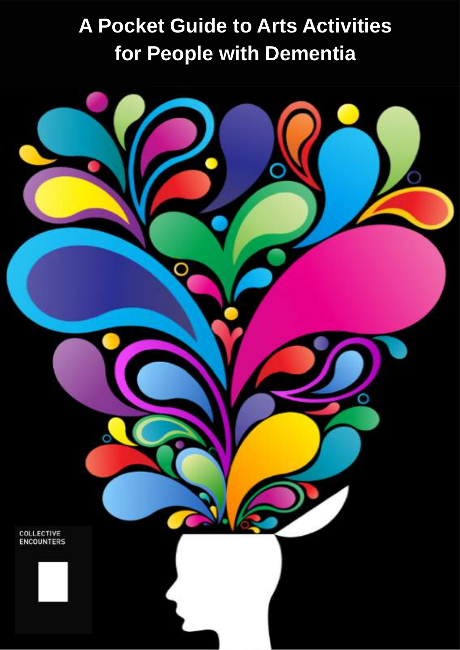## **A Pocket Guide to Arts Activities for People with Dementia**

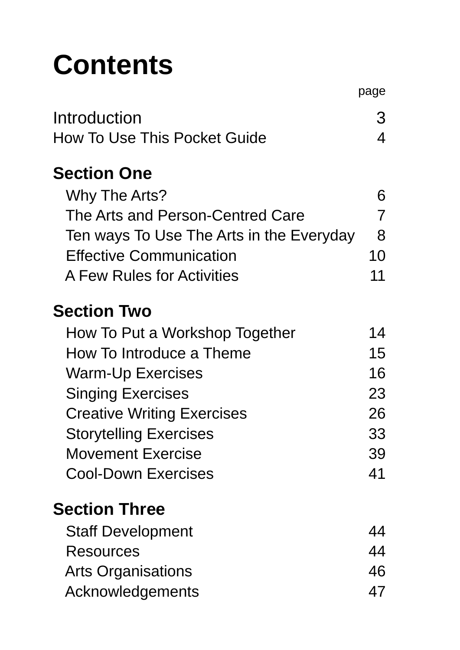## **Contents**

|                                                                                                                                                                                                                                      | page                          |
|--------------------------------------------------------------------------------------------------------------------------------------------------------------------------------------------------------------------------------------|-------------------------------|
| Introduction                                                                                                                                                                                                                         | 3                             |
| How To Use This Pocket Guide                                                                                                                                                                                                         | 4                             |
| <b>Section One</b><br>Why The Arts?<br>The Arts and Person-Centred Care<br>Ten ways To Use The Arts in the Everyday<br><b>Effective Communication</b><br>A Few Rules for Activities<br>Section Two<br>How To Put a Workshop Together | 6<br>7<br>8<br>10<br>11<br>14 |
| How To Introduce a Theme                                                                                                                                                                                                             | 15                            |
| <b>Warm-Up Exercises</b>                                                                                                                                                                                                             | 16                            |
| <b>Singing Exercises</b>                                                                                                                                                                                                             | 23                            |
| <b>Creative Writing Exercises</b>                                                                                                                                                                                                    | 26                            |
| Storytelling Exercises                                                                                                                                                                                                               | 33                            |
| Movement Exercise                                                                                                                                                                                                                    | 39                            |
| Cool-Down Exercises                                                                                                                                                                                                                  | 41                            |

#### **Section Three**

| 44 |
|----|
| 44 |
| 46 |
| 47 |
|    |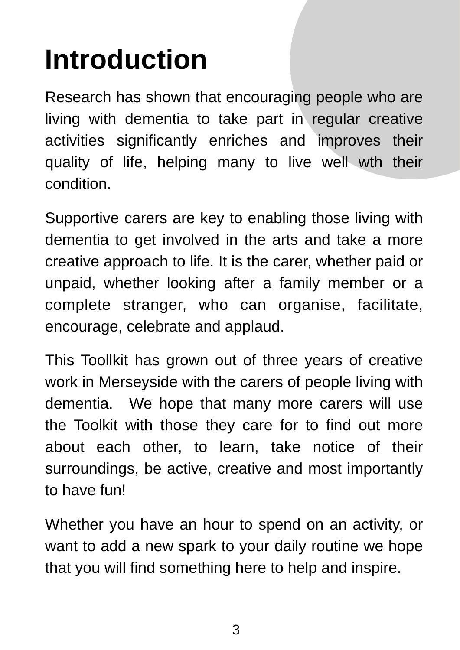## **Introduction**

Research has shown that encouraging people who are living with dementia to take part in regular creative activities significantly enriches and improves their quality of life, helping many to live well wth their condition.

Supportive carers are key to enabling those living with dementia to get involved in the arts and take a more creative approach to life. It is the carer, whether paid or unpaid, whether looking after a family member or a complete stranger, who can organise, facilitate, encourage, celebrate and applaud.

This Toollkit has grown out of three years of creative work in Merseyside with the carers of people living with dementia. We hope that many more carers will use the Toolkit with those they care for to find out more about each other, to learn, take notice of their surroundings, be active, creative and most importantly to have fun!

Whether you have an hour to spend on an activity, or want to add a new spark to your daily routine we hope that you will find something here to help and inspire.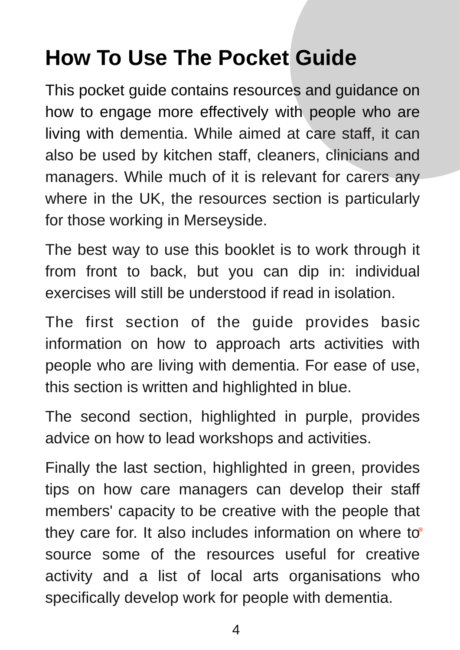## **How To Use The Pocket Guide**

This pocket guide contains resources and guidance on how to engage more effectively with people who are living with dementia. While aimed at care staff, it can also be used by kitchen staff, cleaners, clinicians and managers. While much of it is relevant for carers any where in the UK, the resources section is particularly for those working in Merseyside.

The best way to use this booklet is to work through it from front to back, but you can dip in: individual exercises will still be understood if read in isolation.

The first section of the guide provides basic information on how to approach arts activities with people who are living with dementia. For ease of use, this section is written and highlighted in blue.

The second section, highlighted in purple, provides advice on how to lead workshops and activities.

Finally the last section, highlighted in green, provides tips on how care managers can develop their staff members' capacity to be creative with the people that they care for. It also includes information on where to<sup>®</sup> source some of the resources useful for creative activity and a list of local arts organisations who specifically develop work for people with dementia.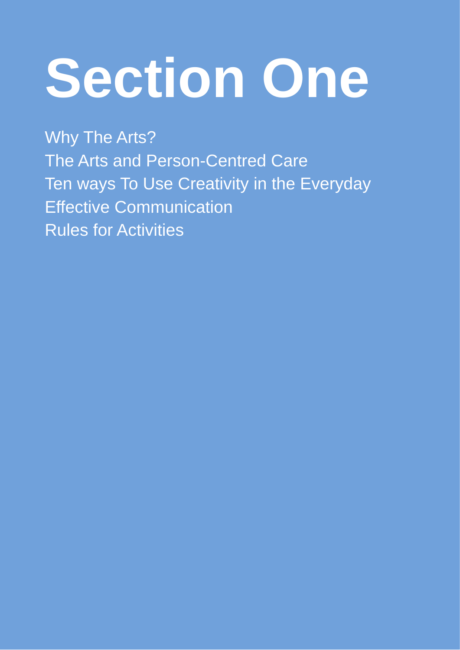# **Section One**

Why The Arts? The Arts and Person-Centred Care Ten ways To Use Creativity in the Everyday Effective Communication Rules for Activities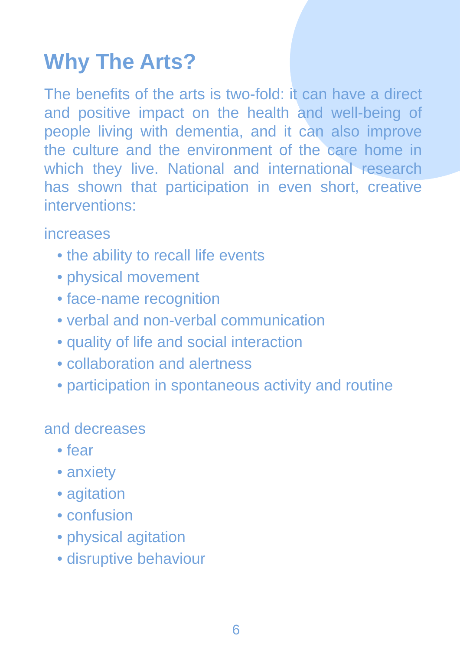## **Why The Arts?**

The benefits of the arts is two-fold: it can have a direct and positive impact on the health and well-being of people living with dementia, and it can also improve the culture and the environment of the care home in which they live. National and international research has shown that participation in even short, creative interventions:

#### increases

- the ability to recall life events
- physical movement
- face-name recognition
- verbal and non-verbal communication
- quality of life and social interaction
- collaboration and alertness
- participation in spontaneous activity and routine

#### and decreases

- fear
- anxiety
- agitation
- confusion
- physical agitation
- disruptive behaviour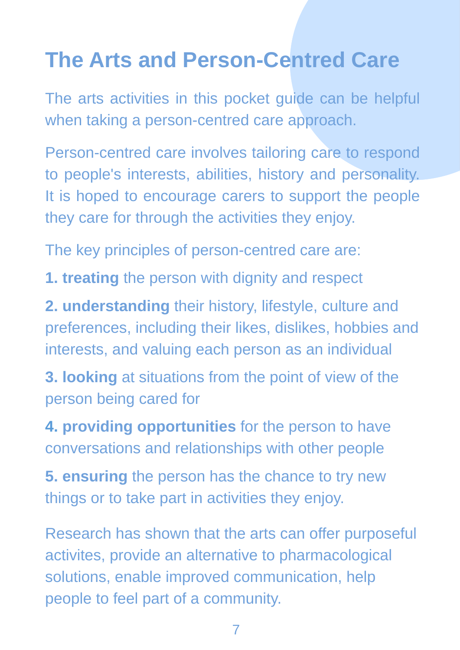## **The Arts and Person-Centred Care**

The arts activities in this pocket guide can be helpful when taking a person-centred care approach.

Person-centred care involves tailoring care to respond to people's interests, abilities, history and personality. It is hoped to encourage carers to support the people they care for through the activities they enjoy.

The key principles of person-centred care are:

**1. treating** the person with dignity and respect

**2. understanding** their history, lifestyle, culture and preferences, including their likes, dislikes, hobbies and interests, and valuing each person as an individual

**3. looking** at situations from the point of view of the person being cared for

**4. providing opportunities** for the person to have conversations and relationships with other people

**5. ensuring** the person has the chance to try new things or to take part in activities they enjoy.

Research has shown that the arts can offer purposeful activites, provide an alternative to pharmacological solutions, enable improved communication, help people to feel part of a community.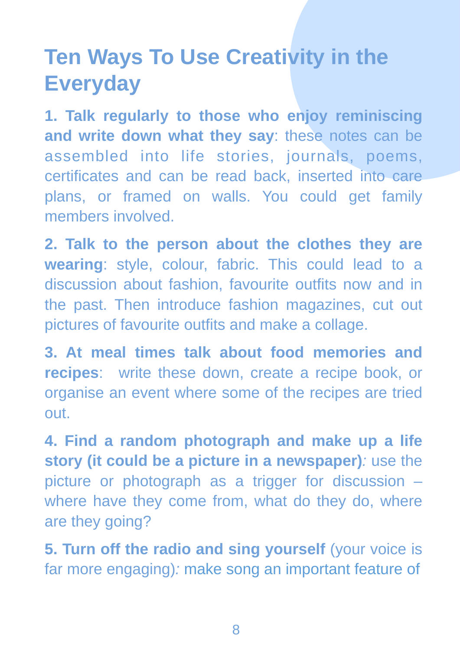## **Ten Ways To Use Creativity in the Everyday**

**1. Talk regularly to those who enjoy reminiscing and write down what they say**: these notes can be assembled into life stories, journals, poems, certificates and can be read back, inserted into care plans, or framed on walls. You could get family members involved.

**2. Talk to the person about the clothes they are wearing**: style, colour, fabric. This could lead to a discussion about fashion, favourite outfits now and in the past. Then introduce fashion magazines, cut out pictures of favourite outfits and make a collage.

**3. At meal times talk about food memories and recipes**: write these down, create a recipe book, or organise an event where some of the recipes are tried out.

**4. Find a random photograph and make up a life story (it could be a picture in a newspaper)**: use the picture or photograph as a trigger for discussion – where have they come from, what do they do, where are they going?

**5. Turn off the radio and sing yourself** (your voice is far more engaging): make song an important feature of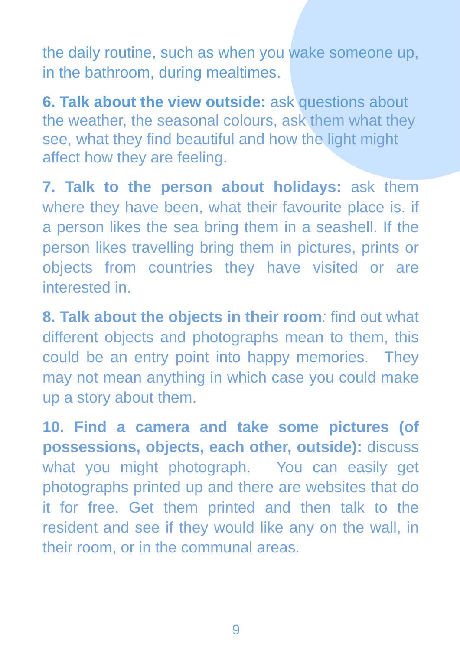the daily routine, such as when you wake someone up, in the bathroom, during mealtimes.

**6. Talk about the view outside:** ask questions about the weather, the seasonal colours, ask them what they see, what they find beautiful and how the light might affect how they are feeling.

**7. Talk to the person about holidays:** ask them where they have been, what their favourite place is. if a person likes the sea bring them in a seashell. If the person likes travelling bring them in pictures, prints or objects from countries they have visited or are interested in.

**8. Talk about the objects in their room**: find out what different objects and photographs mean to them, this could be an entry point into happy memories. They may not mean anything in which case you could make up a story about them.

**10. Find a camera and take some pictures (of possessions, objects, each other, outside):** discuss what you might photograph. You can easily get photographs printed up and there are websites that do it for free. Get them printed and then talk to the resident and see if they would like any on the wall, in their room, or in the communal areas.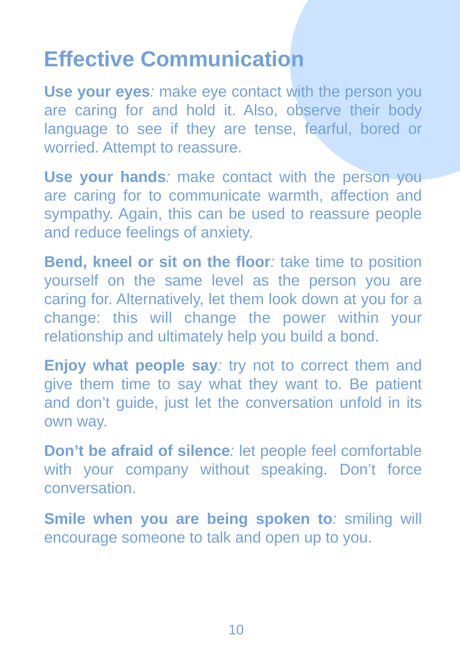### **Effective Communication**

**Use your eyes**: make eye contact with the person you are caring for and hold it. Also, observe their body language to see if they are tense, fearful, bored or worried. Attempt to reassure.

**Use your hands**: make contact with the person you are caring for to communicate warmth, affection and sympathy. Again, this can be used to reassure people and reduce feelings of anxiety.

**Bend, kneel or sit on the floor**: take time to position yourself on the same level as the person you are caring for. Alternatively, let them look down at you for a change: this will change the power within your relationship and ultimately help you build a bond.

**Enjoy what people say**: try not to correct them and give them time to say what they want to. Be patient and don't guide, just let the conversation unfold in its own way.

**Don't be afraid of silence**: let people feel comfortable with your company without speaking. Don't force conversation.

**Smile when you are being spoken to: smiling will** encourage someone to talk and open up to you.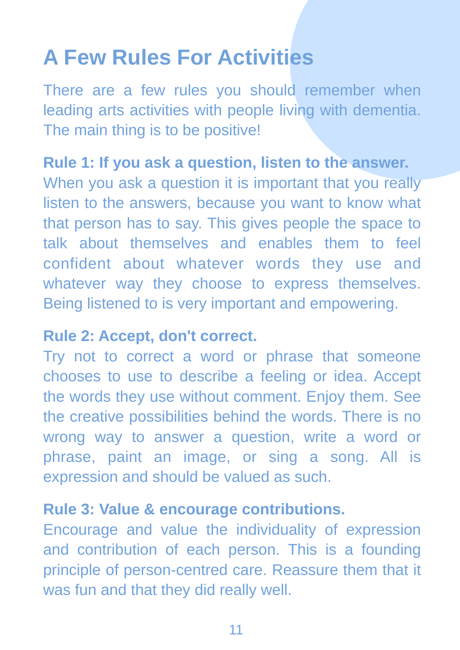## **A Few Rules For Activities**

There are a few rules you should remember when leading arts activities with people living with dementia. The main thing is to be positive!

#### **Rule 1: If you ask a question, listen to the answer.**

When you ask a question it is important that you really listen to the answers, because you want to know what that person has to say. This gives people the space to talk about themselves and enables them to feel confident about whatever words they use and whatever way they choose to express themselves. Being listened to is very important and empowering.

#### **Rule 2: Accept, don't correct.**

Try not to correct a word or phrase that someone chooses to use to describe a feeling or idea. Accept the words they use without comment. Enjoy them. See the creative possibilities behind the words. There is no wrong way to answer a question, write a word or phrase, paint an image, or sing a song. All is expression and should be valued as such.

#### **Rule 3: Value & encourage contributions.**

Encourage and value the individuality of expression and contribution of each person. This is a founding principle of person-centred care. Reassure them that it was fun and that they did really well.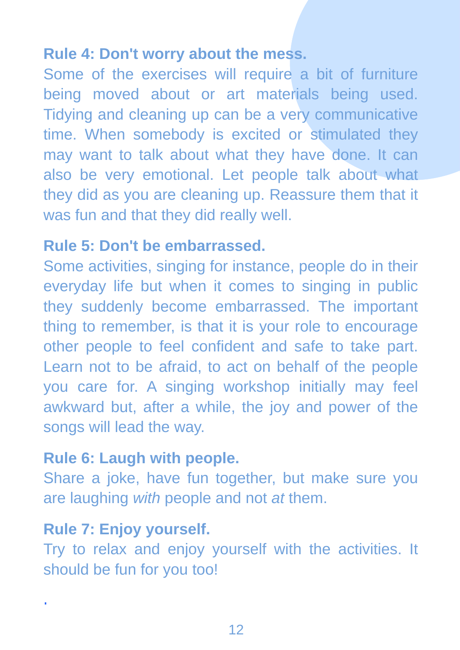#### **Rule 4: Don't worry about the mess.**

Some of the exercises will require a bit of furniture being moved about or art materials being used. Tidying and cleaning up can be a very communicative time. When somebody is excited or stimulated they may want to talk about what they have done. It can also be very emotional. Let people talk about what they did as you are cleaning up. Reassure them that it was fun and that they did really well.

#### **Rule 5: Don't be embarrassed.**

Some activities, singing for instance, people do in their everyday life but when it comes to singing in public they suddenly become embarrassed. The important thing to remember, is that it is your role to encourage other people to feel confident and safe to take part. Learn not to be afraid, to act on behalf of the people you care for. A singing workshop initially may feel awkward but, after a while, the joy and power of the songs will lead the way.

#### **Rule 6: Laugh with people.**

Share a joke, have fun together, but make sure you are laughing with people and not at them.

#### **Rule 7: Enjoy yourself.**

.

Try to relax and enjoy yourself with the activities. It should be fun for you too!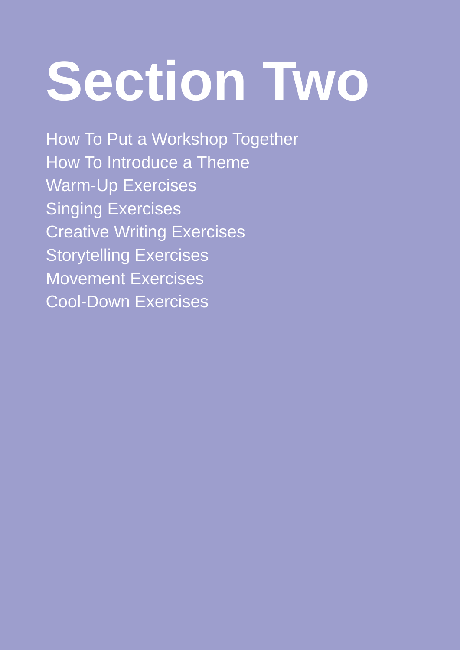# **Section Two**

How To Put a Workshop Together How To Introduce a Theme Warm-Up Exercises Singing Exercises Creative Writing Exercises Storytelling Exercises Movement Exercises Cool-Down Exercises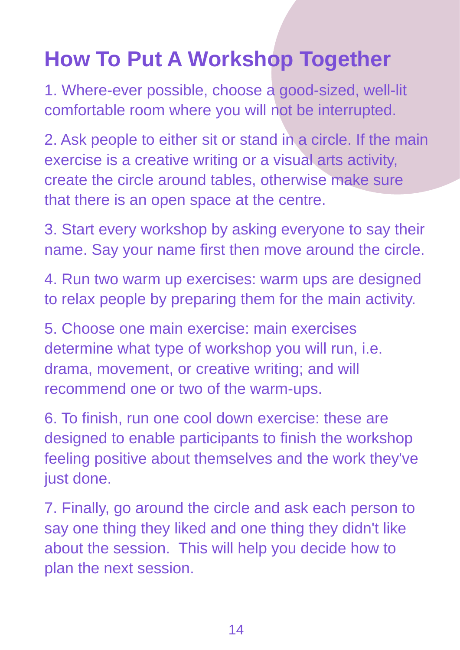## **How To Put A Workshop Together**

1. Where-ever possible, choose a good-sized, well-lit comfortable room where you will not be interrupted.

2. Ask people to either sit or stand in a circle. If the main exercise is a creative writing or a visual arts activity, create the circle around tables, otherwise make sure that there is an open space at the centre.

3. Start every workshop by asking everyone to say their name. Say your name first then move around the circle.

4. Run two warm up exercises: warm ups are designed to relax people by preparing them for the main activity.

5. Choose one main exercise: main exercises determine what type of workshop you will run, i.e. drama, movement, or creative writing; and will recommend one or two of the warm-ups.

6. To finish, run one cool down exercise: these are designed to enable participants to finish the workshop feeling positive about themselves and the work they've just done.

7. Finally, go around the circle and ask each person to say one thing they liked and one thing they didn't like about the session. This will help you decide how to plan the next session.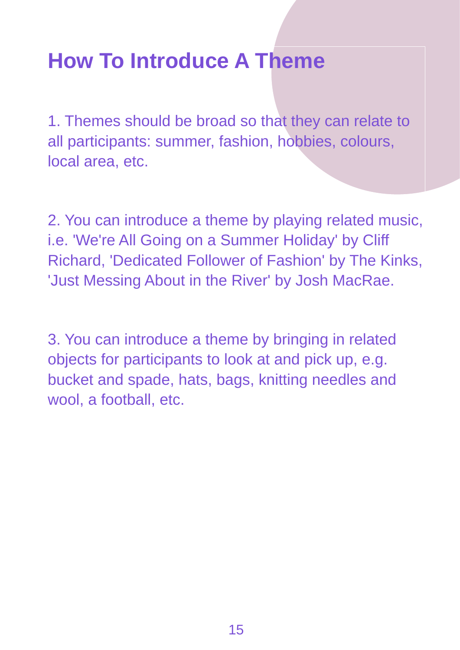## **How To Introduce A Theme**

1. Themes should be broad so that they can relate to all participants: summer, fashion, hobbies, colours, local area, etc.

2. You can introduce a theme by playing related music, i.e. 'We're All Going on a Summer Holiday' by Cliff Richard, 'Dedicated Follower of Fashion' by The Kinks, 'Just Messing About in the River' by Josh MacRae.

3. You can introduce a theme by bringing in related objects for participants to look at and pick up, e.g. bucket and spade, hats, bags, knitting needles and wool, a football, etc.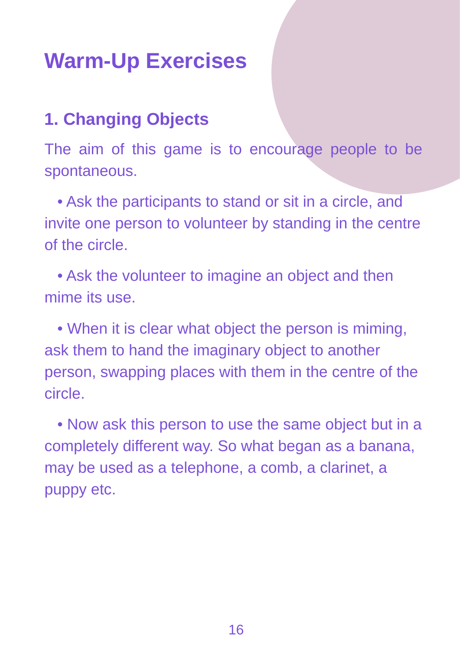## **Warm-Up Exercises**

#### **1. Changing Objects**

The aim of this game is to encourage people to be spontaneous.

 • Ask the participants to stand or sit in a circle, and invite one person to volunteer by standing in the centre of the circle.

 • Ask the volunteer to imagine an object and then mime its use.

 • When it is clear what object the person is miming, ask them to hand the imaginary object to another person, swapping places with them in the centre of the circle.

 • Now ask this person to use the same object but in a completely different way. So what began as a banana, may be used as a telephone, a comb, a clarinet, a puppy etc.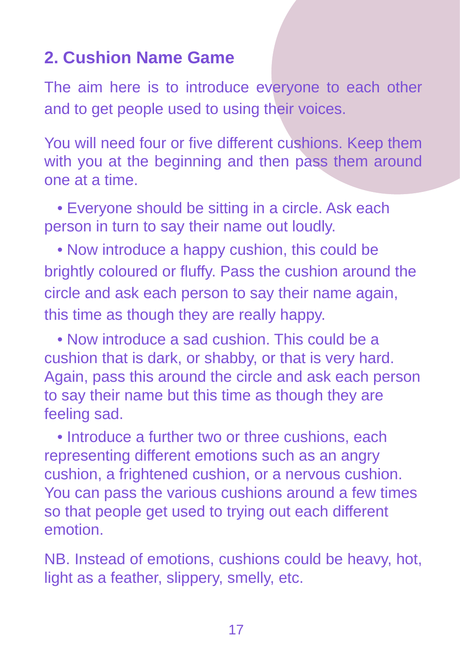#### **2. Cushion Name Game**

The aim here is to introduce everyone to each other and to get people used to using their voices.

You will need four or five different cushions. Keep them with you at the beginning and then pass them around one at a time.

 • Everyone should be sitting in a circle. Ask each person in turn to say their name out loudly.

 • Now introduce a happy cushion, this could be brightly coloured or fluffy. Pass the cushion around the circle and ask each person to say their name again, this time as though they are really happy.

 • Now introduce a sad cushion. This could be a cushion that is dark, or shabby, or that is very hard. Again, pass this around the circle and ask each person to say their name but this time as though they are feeling sad.

 • Introduce a further two or three cushions, each representing different emotions such as an angry cushion, a frightened cushion, or a nervous cushion. You can pass the various cushions around a few times so that people get used to trying out each different emotion.

NB. Instead of emotions, cushions could be heavy, hot, light as a feather, slippery, smelly, etc.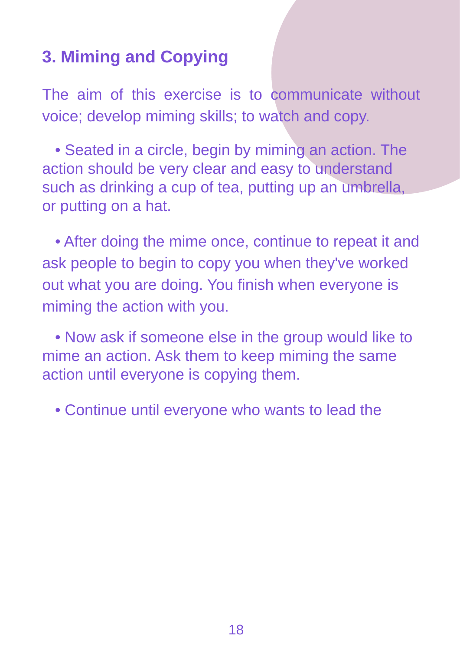#### **3. Miming and Copying**

The aim of this exercise is to communicate without voice; develop miming skills; to watch and copy.

 • Seated in a circle, begin by miming an action. The action should be very clear and easy to understand such as drinking a cup of tea, putting up an umbrella, or putting on a hat.

 • After doing the mime once, continue to repeat it and ask people to begin to copy you when they've worked out what you are doing. You finish when everyone is miming the action with you.

 • Now ask if someone else in the group would like to mime an action. Ask them to keep miming the same action until everyone is copying them.

• Continue until everyone who wants to lead the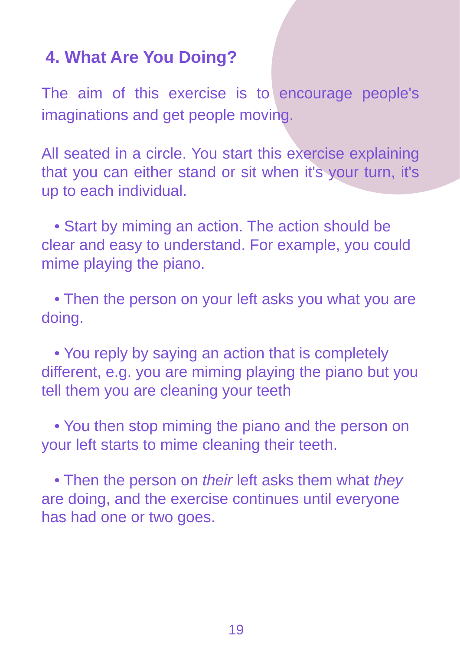#### **4. What Are You Doing?**

The aim of this exercise is to encourage people's imaginations and get people moving.

All seated in a circle. You start this exercise explaining that you can either stand or sit when it's your turn, it's up to each individual.

 • Start by miming an action. The action should be clear and easy to understand. For example, you could mime playing the piano.

 • Then the person on your left asks you what you are doing.

 • You reply by saying an action that is completely different, e.g. you are miming playing the piano but you tell them you are cleaning your teeth

 • You then stop miming the piano and the person on your left starts to mime cleaning their teeth.

• Then the person on their left asks them what they are doing, and the exercise continues until everyone has had one or two goes.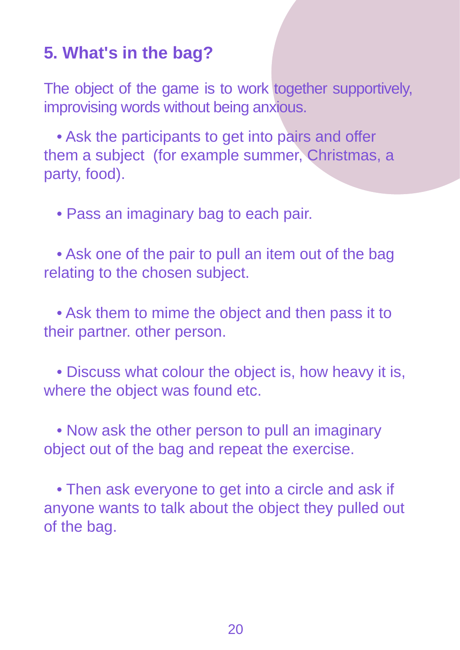#### **5. What's in the bag?**

The object of the game is to work together supportively, improvising words without being anxious.

 • Ask the participants to get into pairs and offer them a subject (for example summer, Christmas, a party, food).

• Pass an imaginary bag to each pair.

 • Ask one of the pair to pull an item out of the bag relating to the chosen subject.

 • Ask them to mime the object and then pass it to their partner. other person.

 • Discuss what colour the object is, how heavy it is, where the object was found etc.

 • Now ask the other person to pull an imaginary object out of the bag and repeat the exercise.

 • Then ask everyone to get into a circle and ask if anyone wants to talk about the object they pulled out of the bag.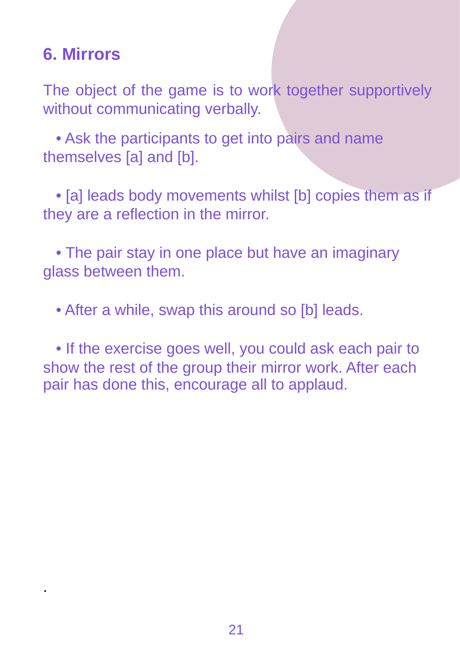#### **6. Mirrors**

.

The object of the game is to work together supportively without communicating verbally.

 • Ask the participants to get into pairs and name themselves [a] and [b].

 • [a] leads body movements whilst [b] copies them as if they are a reflection in the mirror.

 • The pair stay in one place but have an imaginary glass between them.

• After a while, swap this around so [b] leads.

 • If the exercise goes well, you could ask each pair to show the rest of the group their mirror work. After each pair has done this, encourage all to applaud.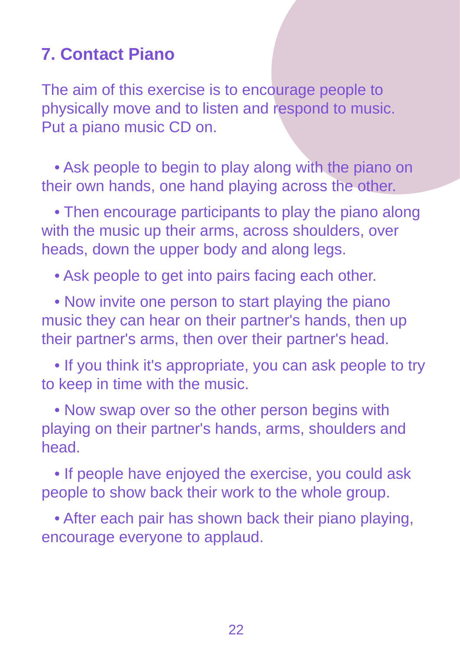#### **7. Contact Piano**

The aim of this exercise is to encourage people to physically move and to listen and respond to music. Put a piano music CD on.

 • Ask people to begin to play along with the piano on their own hands, one hand playing across the other.

 • Then encourage participants to play the piano along with the music up their arms, across shoulders, over heads, down the upper body and along legs.

• Ask people to get into pairs facing each other.

 • Now invite one person to start playing the piano music they can hear on their partner's hands, then up their partner's arms, then over their partner's head.

 • If you think it's appropriate, you can ask people to try to keep in time with the music.

 • Now swap over so the other person begins with playing on their partner's hands, arms, shoulders and head.

 • If people have enjoyed the exercise, you could ask people to show back their work to the whole group.

 • After each pair has shown back their piano playing, encourage everyone to applaud.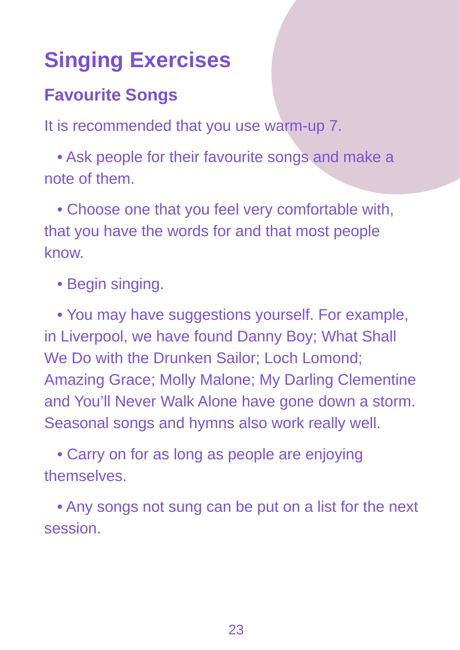## **Singing Exercises**

#### **Favourite Songs**

It is recommended that you use warm-up 7.

 • Ask people for their favourite songs and make a note of them.

 • Choose one that you feel very comfortable with, that you have the words for and that most people know.

• Begin singing.

 • You may have suggestions yourself. For example, in Liverpool, we have found Danny Boy; What Shall We Do with the Drunken Sailor; Loch Lomond; Amazing Grace; Molly Malone; My Darling Clementine and You'll Never Walk Alone have gone down a storm. Seasonal songs and hymns also work really well.

 • Carry on for as long as people are enjoying **themselves** 

 • Any songs not sung can be put on a list for the next session.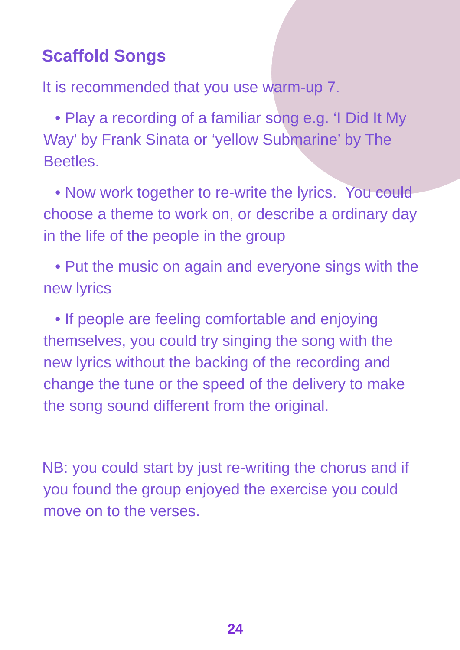#### **Scaffold Songs**

It is recommended that you use warm-up 7.

 • Play a recording of a familiar song e.g. 'I Did It My Way' by Frank Sinata or 'yellow Submarine' by The Beetles.

• Now work together to re-write the lyrics. You could choose a theme to work on, or describe a ordinary day in the life of the people in the group

 • Put the music on again and everyone sings with the new lyrics

 • If people are feeling comfortable and enjoying themselves, you could try singing the song with the new lyrics without the backing of the recording and change the tune or the speed of the delivery to make the song sound different from the original.

NB: you could start by just re-writing the chorus and if you found the group enjoyed the exercise you could move on to the verses.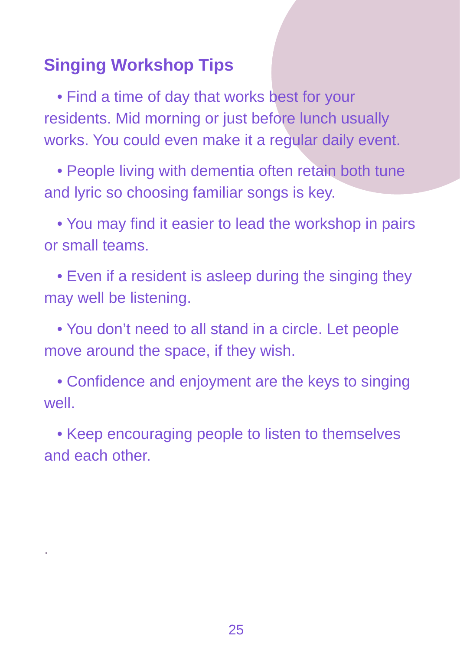#### **Singing Workshop Tips**

.

 • Find a time of day that works best for your residents. Mid morning or just before lunch usually works. You could even make it a regular daily event.

 • People living with dementia often retain both tune and lyric so choosing familiar songs is key.

 • You may find it easier to lead the workshop in pairs or small teams.

 • Even if a resident is asleep during the singing they may well be listening.

 • You don't need to all stand in a circle. Let people move around the space, if they wish.

 • Confidence and enjoyment are the keys to singing well.

 • Keep encouraging people to listen to themselves and each other.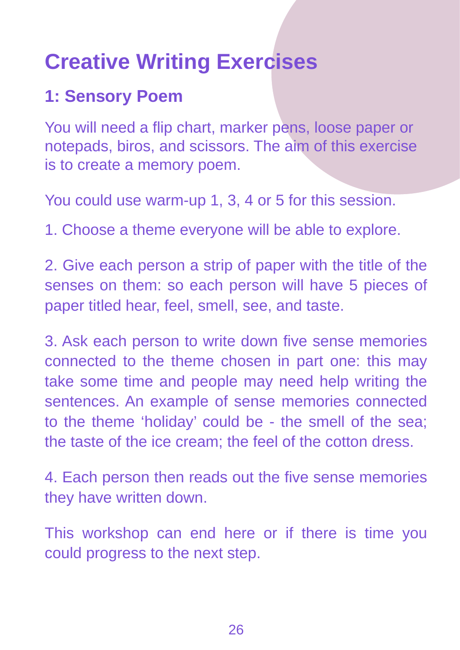## **Creative Writing Exercises**

#### **1: Sensory Poem**

You will need a flip chart, marker pens, loose paper or notepads, biros, and scissors. The aim of this exercise is to create a memory poem.

You could use warm-up 1, 3, 4 or 5 for this session.

1. Choose a theme everyone will be able to explore.

2. Give each person a strip of paper with the title of the senses on them: so each person will have 5 pieces of paper titled hear, feel, smell, see, and taste.

3. Ask each person to write down five sense memories connected to the theme chosen in part one: this may take some time and people may need help writing the sentences. An example of sense memories connected to the theme 'holiday' could be - the smell of the sea; the taste of the ice cream; the feel of the cotton dress.

4. Each person then reads out the five sense memories they have written down.

This workshop can end here or if there is time you could progress to the next step.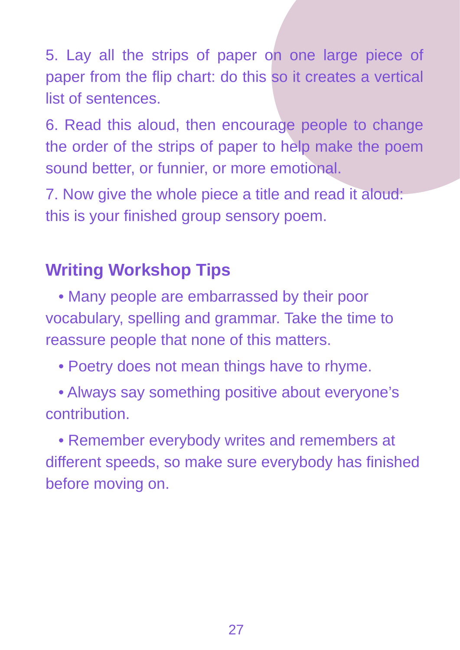5. Lay all the strips of paper on one large piece of paper from the flip chart: do this so it creates a vertical list of sentences.

6. Read this aloud, then encourage people to change the order of the strips of paper to help make the poem sound better, or funnier, or more emotional.

7. Now give the whole piece a title and read it aloud: this is your finished group sensory poem.

#### **Writing Workshop Tips**

 • Many people are embarrassed by their poor vocabulary, spelling and grammar. Take the time to reassure people that none of this matters.

• Poetry does not mean things have to rhyme.

 • Always say something positive about everyone's contribution.

 • Remember everybody writes and remembers at different speeds, so make sure everybody has finished before moving on.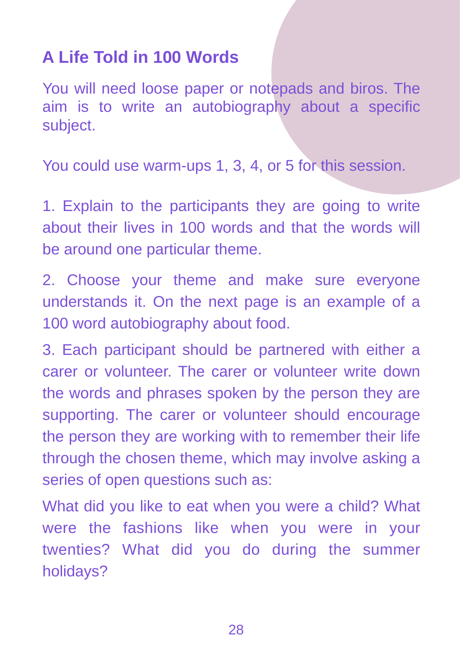#### **A Life Told in 100 Words**

You will need loose paper or notepads and biros. The aim is to write an autobiography about a specific subject.

You could use warm-ups 1, 3, 4, or 5 for this session.

1. Explain to the participants they are going to write about their lives in 100 words and that the words will be around one particular theme.

2. Choose your theme and make sure everyone understands it. On the next page is an example of a 100 word autobiography about food.

3. Each participant should be partnered with either a carer or volunteer. The carer or volunteer write down the words and phrases spoken by the person they are supporting. The carer or volunteer should encourage the person they are working with to remember their life through the chosen theme, which may involve asking a series of open questions such as:

What did you like to eat when you were a child? What were the fashions like when you were in your twenties? What did you do during the summer holidays?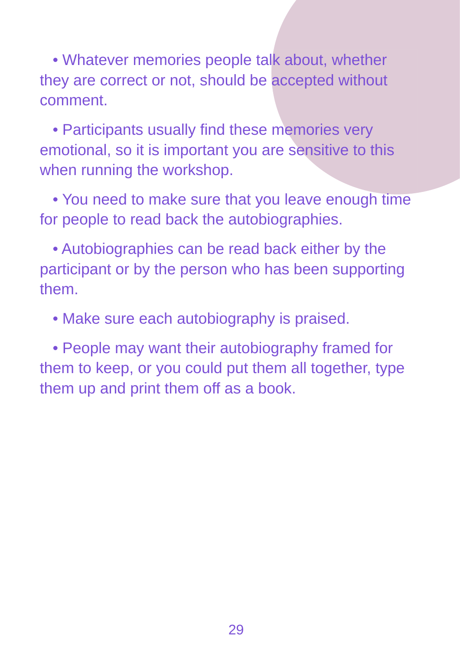• Whatever memories people talk about, whether they are correct or not, should be accepted without comment.

 • Participants usually find these memories very emotional, so it is important you are sensitive to this when running the workshop.

 • You need to make sure that you leave enough time for people to read back the autobiographies.

 • Autobiographies can be read back either by the participant or by the person who has been supporting them.

• Make sure each autobiography is praised.

 • People may want their autobiography framed for them to keep, or you could put them all together, type them up and print them off as a book.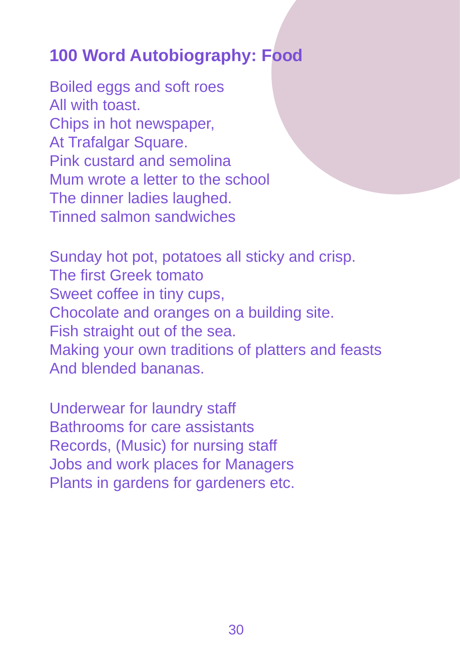#### **100 Word Autobiography: Food**

Boiled eggs and soft roes All with toast. Chips in hot newspaper, At Trafalgar Square. Pink custard and semolina Mum wrote a letter to the school The dinner ladies laughed. Tinned salmon sandwiches

Sunday hot pot, potatoes all sticky and crisp. The first Greek tomato Sweet coffee in tiny cups, Chocolate and oranges on a building site. Fish straight out of the sea. Making your own traditions of platters and feasts And blended bananas.

Underwear for laundry staff Bathrooms for care assistants Records, (Music) for nursing staff Jobs and work places for Managers Plants in gardens for gardeners etc.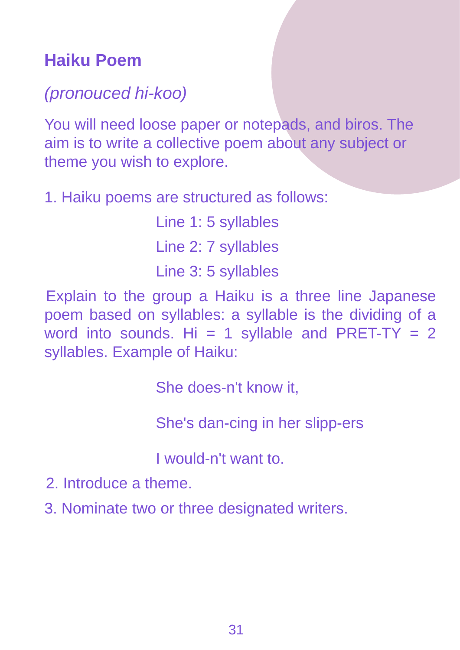#### **Haiku Poem**

#### (pronouced hi-koo)

You will need loose paper or notepads, and biros. The aim is to write a collective poem about any subject or theme you wish to explore.

1. Haiku poems are structured as follows:

Line 1: 5 syllables Line 2: 7 syllables Line 3: 5 syllables

Explain to the group a Haiku is a three line Japanese poem based on syllables: a syllable is the dividing of a word into sounds. Hi = 1 syllable and PRET-TY = 2 syllables. Example of Haiku:

She does-n't know it,

She's dan-cing in her slipp-ers

I would-n't want to.

- 2. Introduce a theme.
- 3. Nominate two or three designated writers.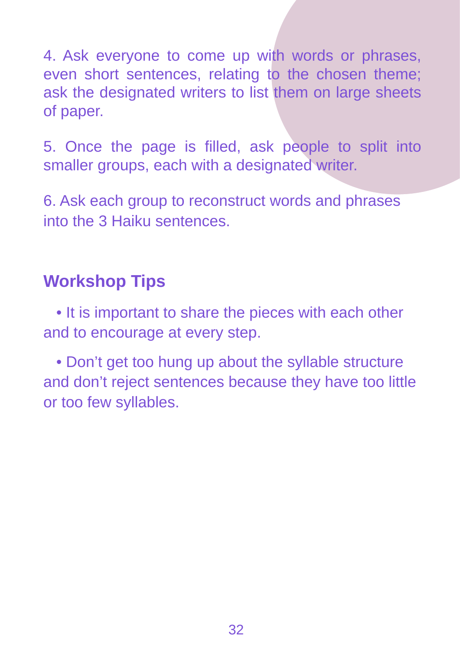4. Ask everyone to come up with words or phrases, even short sentences, relating to the chosen theme; ask the designated writers to list them on large sheets of paper.

5. Once the page is filled, ask people to split into smaller groups, each with a designated writer.

6. Ask each group to reconstruct words and phrases into the 3 Haiku sentences.

#### **Workshop Tips**

 • It is important to share the pieces with each other and to encourage at every step.

 • Don't get too hung up about the syllable structure and don't reject sentences because they have too little or too few syllables.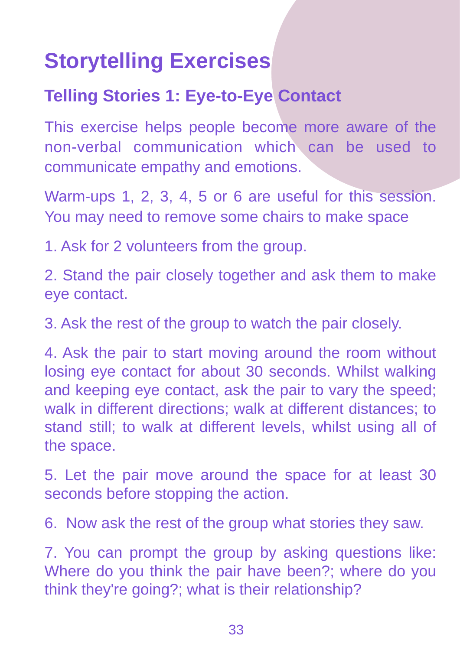## **Storytelling Exercises**

#### **Telling Stories 1: Eye-to-Eye Contact**

This exercise helps people become more aware of the non-verbal communication which can be used to communicate empathy and emotions.

Warm-ups 1, 2, 3, 4, 5 or 6 are useful for this session. You may need to remove some chairs to make space

1. Ask for 2 volunteers from the group.

2. Stand the pair closely together and ask them to make eye contact.

3. Ask the rest of the group to watch the pair closely.

4. Ask the pair to start moving around the room without losing eye contact for about 30 seconds. Whilst walking and keeping eye contact, ask the pair to vary the speed; walk in different directions; walk at different distances; to stand still; to walk at different levels, whilst using all of the space.

5. Let the pair move around the space for at least 30 seconds before stopping the action.

6. Now ask the rest of the group what stories they saw.

7. You can prompt the group by asking questions like: Where do you think the pair have been?; where do you think they're going?; what is their relationship?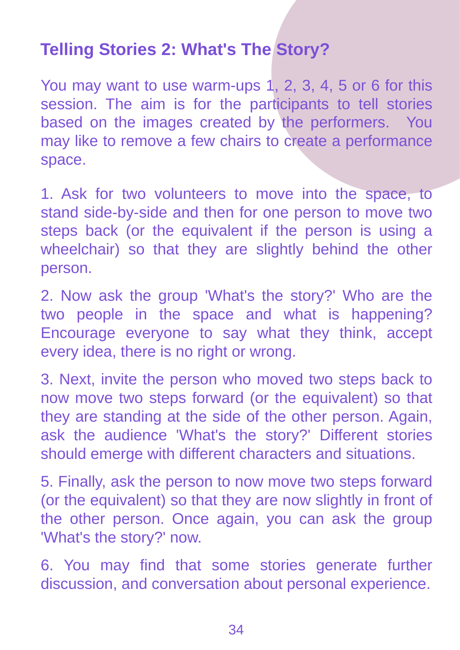#### **Telling Stories 2: What's The Story?**

You may want to use warm-ups 1, 2, 3, 4, 5 or 6 for this session. The aim is for the participants to tell stories based on the images created by the performers. You may like to remove a few chairs to create a performance space.

1. Ask for two volunteers to move into the space, to stand side-by-side and then for one person to move two steps back (or the equivalent if the person is using a wheelchair) so that they are slightly behind the other person.

2. Now ask the group 'What's the story?' Who are the two people in the space and what is happening? Encourage everyone to say what they think, accept every idea, there is no right or wrong.

3. Next, invite the person who moved two steps back to now move two steps forward (or the equivalent) so that they are standing at the side of the other person. Again, ask the audience 'What's the story?' Different stories should emerge with different characters and situations.

5. Finally, ask the person to now move two steps forward (or the equivalent) so that they are now slightly in front of the other person. Once again, you can ask the group 'What's the story?' now.

6. You may find that some stories generate further discussion, and conversation about personal experience.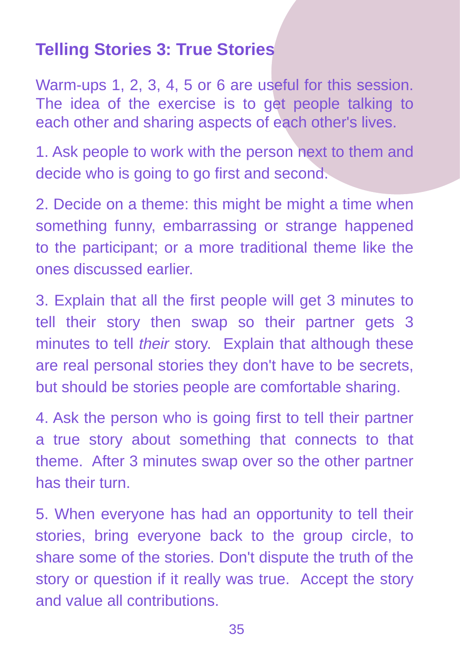#### **Telling Stories 3: True Stories**

Warm-ups 1, 2, 3, 4, 5 or 6 are useful for this session. The idea of the exercise is to get people talking to each other and sharing aspects of each other's lives.

1. Ask people to work with the person next to them and decide who is going to go first and second.

2. Decide on a theme: this might be might a time when something funny, embarrassing or strange happened to the participant; or a more traditional theme like the ones discussed earlier.

3. Explain that all the first people will get 3 minutes to tell their story then swap so their partner gets 3 minutes to tell their story. Explain that although these are real personal stories they don't have to be secrets, but should be stories people are comfortable sharing.

4. Ask the person who is going first to tell their partner a true story about something that connects to that theme. After 3 minutes swap over so the other partner has their turn.

5. When everyone has had an opportunity to tell their stories, bring everyone back to the group circle, to share some of the stories. Don't dispute the truth of the story or question if it really was true. Accept the story and value all contributions.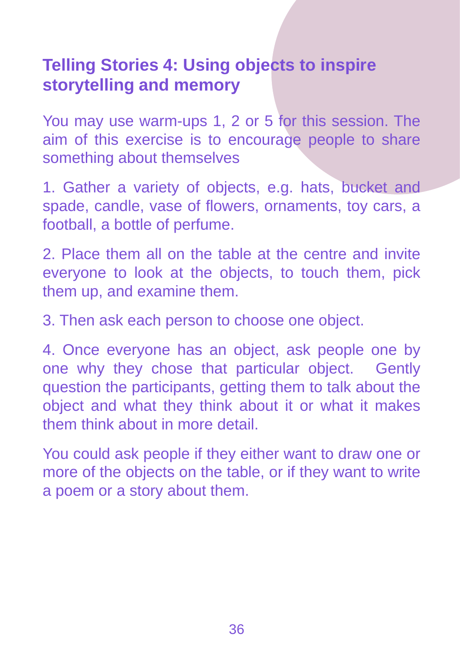#### **Telling Stories 4: Using objects to inspire storytelling and memory**

You may use warm-ups 1, 2 or 5 for this session. The aim of this exercise is to encourage people to share something about themselves

1. Gather a variety of objects, e.g. hats, bucket and spade, candle, vase of flowers, ornaments, toy cars, a football, a bottle of perfume.

2. Place them all on the table at the centre and invite everyone to look at the objects, to touch them, pick them up, and examine them.

3. Then ask each person to choose one object.

4. Once everyone has an object, ask people one by one why they chose that particular object. Gently question the participants, getting them to talk about the object and what they think about it or what it makes them think about in more detail.

You could ask people if they either want to draw one or more of the objects on the table, or if they want to write a poem or a story about them.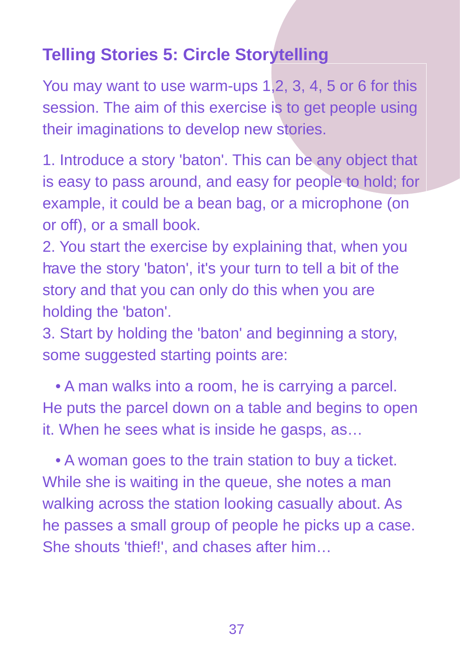#### **Telling Stories 5: Circle Storytelling**

You may want to use warm-ups 1,2, 3, 4, 5 or 6 for this session. The aim of this exercise is to get people using their imaginations to develop new stories.

1. Introduce a story 'baton'. This can be any object that is easy to pass around, and easy for people to hold; for example, it could be a bean bag, or a microphone (on or off), or a small book.

. have the story 'baton', it's your turn to tell a bit of the 2. You start the exercise by explaining that, when you story and that you can only do this when you are holding the 'baton'.

3. Start by holding the 'baton' and beginning a story, some suggested starting points are:

 • A man walks into a room, he is carrying a parcel. He puts the parcel down on a table and begins to open it. When he sees what is inside he gasps, as…

 • A woman goes to the train station to buy a ticket. While she is waiting in the queue, she notes a man walking across the station looking casually about. As he passes a small group of people he picks up a case. She shouts 'thief!', and chases after him…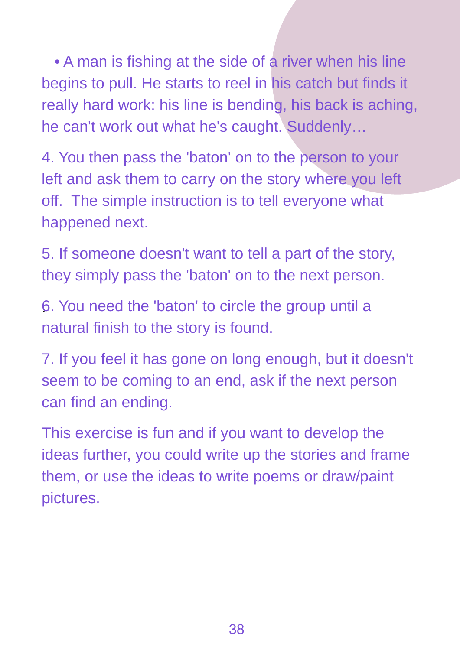• A man is fishing at the side of a river when his line begins to pull. He starts to reel in his catch but finds it really hard work: his line is bending, his back is aching, he can't work out what he's caught. Suddenly…

4. You then pass the 'baton' on to the person to your left and ask them to carry on the story where you left off. The simple instruction is to tell everyone what happened next.

5. If someone doesn't want to tell a part of the story, they simply pass the 'baton' on to the next person.

. 6. You need the 'baton' to circle the group until a natural finish to the story is found.

7. If you feel it has gone on long enough, but it doesn't seem to be coming to an end, ask if the next person can find an ending.

This exercise is fun and if you want to develop the ideas further, you could write up the stories and frame them, or use the ideas to write poems or draw/paint pictures.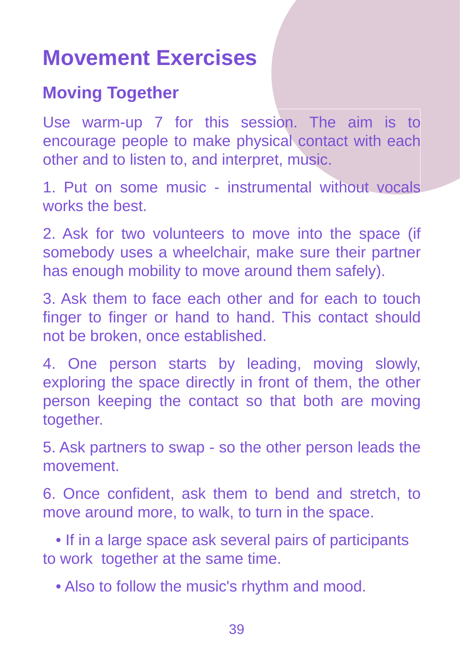## **Movement Exercises**

#### **Moving Together**

Use warm-up 7 for this session. The aim is to encourage people to make physical contact with each other and to listen to, and interpret, music.

1. Put on some music - instrumental without vocals works the best.

2. Ask for two volunteers to move into the space (if somebody uses a wheelchair, make sure their partner has enough mobility to move around them safely).

. finger to finger or hand to hand. This contact should 3. Ask them to face each other and for each to touch not be broken, once established.

4. One person starts by leading, moving slowly, exploring the space directly in front of them, the other person keeping the contact so that both are moving together.

5. Ask partners to swap - so the other person leads the movement.

6. Once confident, ask them to bend and stretch, to move around more, to walk, to turn in the space.

 • If in a large space ask several pairs of participants to work together at the same time.

• Also to follow the music's rhythm and mood.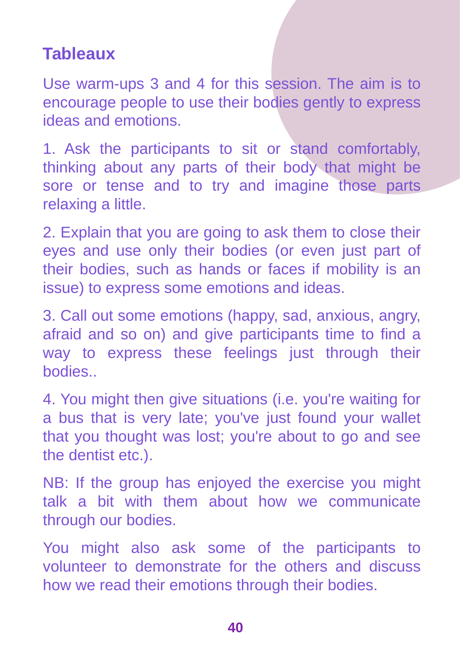#### **Tableaux**

Use warm-ups 3 and 4 for this session. The aim is to encourage people to use their bodies gently to express ideas and emotions.

1. Ask the participants to sit or stand comfortably, thinking about any parts of their body that might be sore or tense and to try and imagine those parts relaxing a little.

2. Explain that you are going to ask them to close their eyes and use only their bodies (or even just part of their bodies, such as hands or faces if mobility is an issue) to express some emotions and ideas.

3. Call out some emotions (happy, sad, anxious, angry, afraid and so on) and give participants time to find a way to express these feelings just through their bodies..

4. You might then give situations (i.e. you're waiting for a bus that is very late; you've just found your wallet that you thought was lost; you're about to go and see the dentist etc.).

NB: If the group has enjoyed the exercise you might talk a bit with them about how we communicate through our bodies.

You might also ask some of the participants to volunteer to demonstrate for the others and discuss how we read their emotions through their bodies.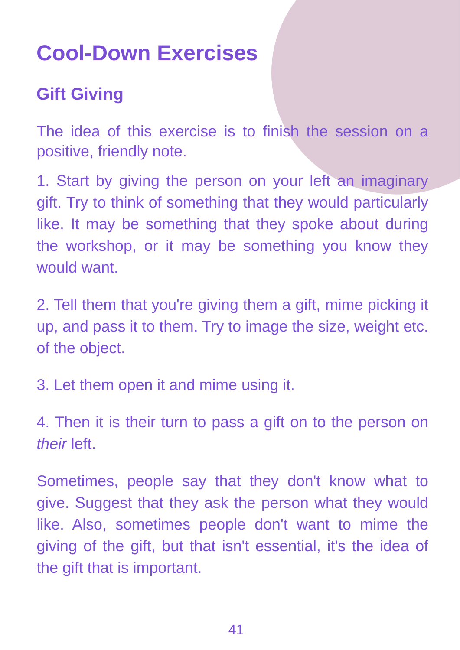## **Cool-Down Exercises**

#### **Gift Giving**

The idea of this exercise is to finish the session on a positive, friendly note.

1. Start by giving the person on your left an imaginary gift. Try to think of something that they would particularly like. It may be something that they spoke about during the workshop, or it may be something you know they would want.

2. Tell them that you're giving them a gift, mime picking it up, and pass it to them. Try to image the size, weight etc. of the object.

3. Let them open it and mime using it.

4. Then it is their turn to pass a gift on to the person on their left.

Sometimes, people say that they don't know what to give. Suggest that they ask the person what they would like. Also, sometimes people don't want to mime the giving of the gift, but that isn't essential, it's the idea of the gift that is important.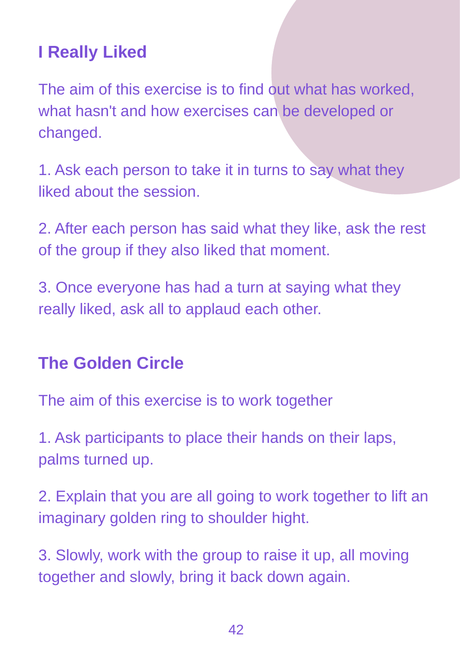#### **I Really Liked**

The aim of this exercise is to find out what has worked, what hasn't and how exercises can be developed or changed.

1. Ask each person to take it in turns to say what they liked about the session.

2. After each person has said what they like, ask the rest of the group if they also liked that moment.

3. Once everyone has had a turn at saying what they really liked, ask all to applaud each other.

#### **The Golden Circle**

The aim of this exercise is to work together

1. Ask participants to place their hands on their laps, palms turned up.

2. Explain that you are all going to work together to lift an imaginary golden ring to shoulder hight.

3. Slowly, work with the group to raise it up, all moving together and slowly, bring it back down again.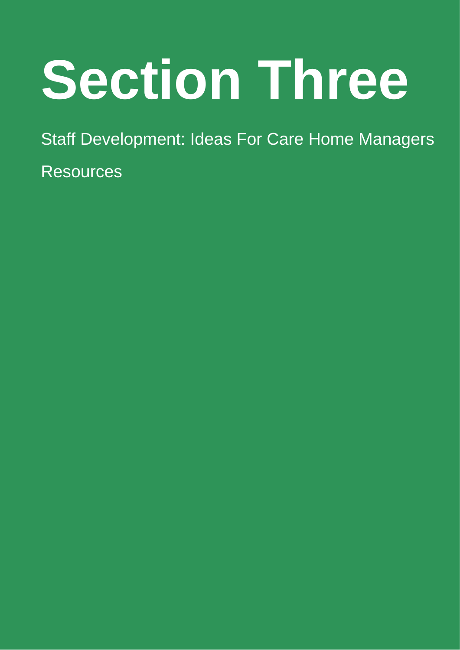# **Section Three**

Staff Development: Ideas For Care Home Managers

**Resources**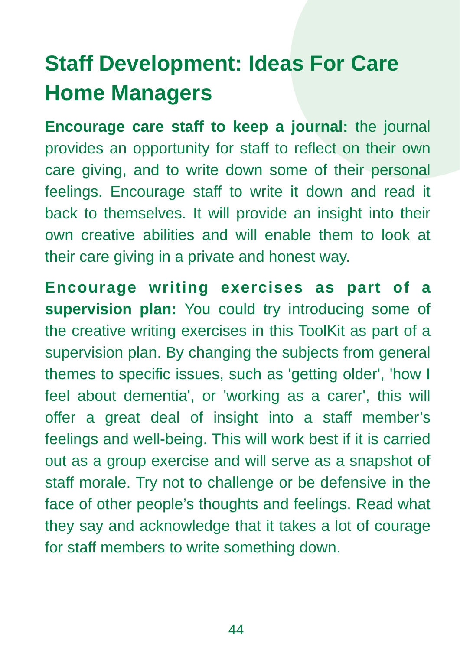## **Staff Development: Ideas For Care Home Managers**

**Encourage care staff to keep a journal:** the journal provides an opportunity for staff to reflect on their own care giving, and to write down some of their personal feelings. Encourage staff to write it down and read it back to themselves. It will provide an insight into their own creative abilities and will enable them to look at their care giving in a private and honest way.

**Encourage writing exercises as part of a supervision plan:** You could try introducing some of the creative writing exercises in this ToolKit as part of a supervision plan. By changing the subjects from general themes to specific issues, such as 'getting older', 'how I feel about dementia', or 'working as a carer', this will offer a great deal of insight into a staff member's feelings and well-being. This will work best if it is carried out as a group exercise and will serve as a snapshot of staff morale. Try not to challenge or be defensive in the face of other people's thoughts and feelings. Read what they say and acknowledge that it takes a lot of courage for staff members to write something down.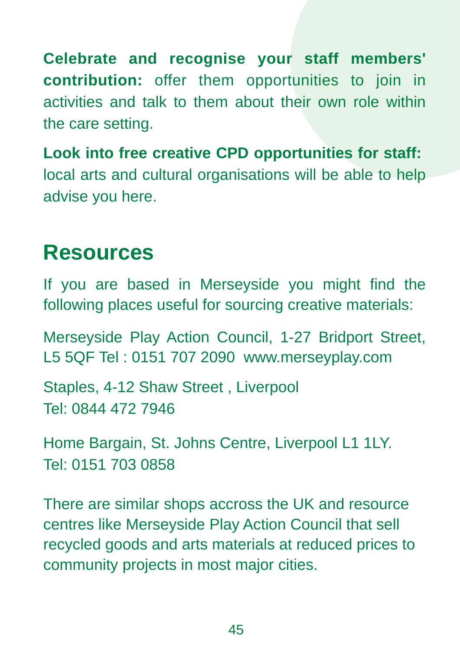**Celebrate and recognise your staff members' contribution:** offer them opportunities to join in activities and talk to them about their own role within the care setting.

**Look into free creative CPD opportunities for staff:**  local arts and cultural organisations will be able to help advise you here.

#### **Resources**

If you are based in Merseyside you might find the following places useful for sourcing creative materials:

Merseyside Play Action Council, 1-27 Bridport Street, L5 5QF Tel : 0151 707 2090 www.merseyplay.com

Staples, 4-12 Shaw Street , Liverpool Tel: 0844 472 7946

Home Bargain, St. Johns Centre, Liverpool L1 1LY. Tel: 0151 703 0858

There are similar shops accross the UK and resource centres like Merseyside Play Action Council that sell recycled goods and arts materials at reduced prices to community projects in most major cities.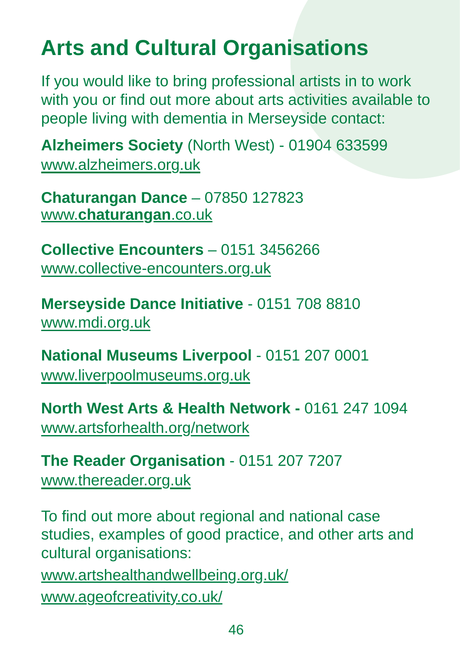## **Arts and Cultural Organisations**

If you would like to bring professional artists in to work with you or find out more about arts activities available to people living with dementia in Merseyside contact:

**Alzheimers Society** (North West) - 01904 633599 www.alzheimers.org.uk

**Chaturangan Dance** – 07850 127823 www.**chaturangan**.co.uk

**Collective Encounters** – 0151 3456266 www.collective-encounters.org.uk

**Merseyside Dance Initiative** - 0151 708 8810 www.mdi.org.uk

**National Museums Liverpool** - 0151 207 0001 www.liverpoolmuseums.org.uk

**North West Arts & Health Network -** 0161 247 1094 www.artsforhealth.org/network

**The Reader Organisation** - 0151 207 7207 www.thereader.org.uk

To find out more about regional and national case studies, examples of good practice, and other arts and cultural organisations: www.artshealthandwellbeing.org.uk/ www.ageofcreativity.co.uk/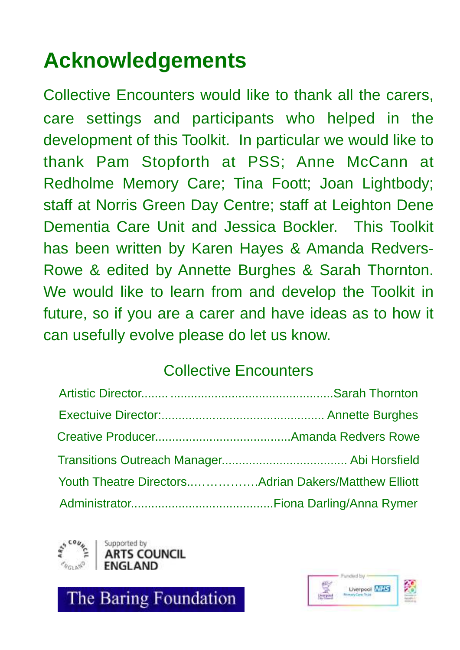## **Acknowledgements**

Collective Encounters would like to thank all the carers, care settings and participants who helped in the development of this Toolkit. In particular we would like to thank Pam Stopforth at PSS; Anne McCann at Redholme Memory Care; Tina Foott; Joan Lightbody; staff at Norris Green Day Centre; staff at Leighton Dene Dementia Care Unit and Jessica Bockler. This Toolkit has been written by Karen Hayes & Amanda Redvers-Rowe & edited by Annette Burghes & Sarah Thornton. We would like to learn from and develop the Toolkit in future, so if you are a carer and have ideas as to how it can usefully evolve please do let us know.

#### Collective Encounters



**JUNCIL** 

The Baring Foundation